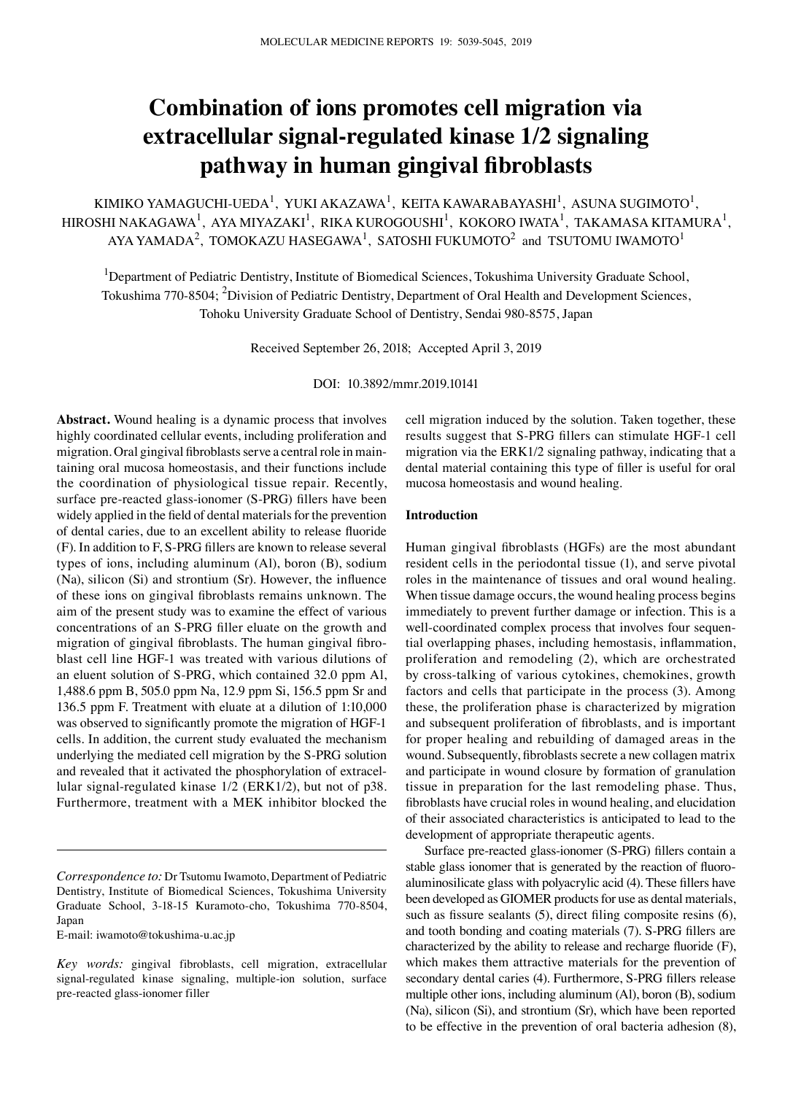# **Combination of ions promotes cell migration via extracellular signal‑regulated kinase 1/2 signaling pathway in human gingival fibroblasts**

KIMIKO YAMAGUCHI-UEDA $^{\rm l}$ , YUKI AKAZAWA $^{\rm l}$ , KEITA KAWARABAYASHI $^{\rm l}$ , ASUNA SUGIMOTO $^{\rm l}$ , HIROSHI NAKAGAWA $^{\rm l}$ , AYA MIYAZAKI $^{\rm l}$ , RIKA KUROGOUSHI $^{\rm l}$ , KOKORO IWATA $^{\rm l}$ , TAKAMASA KITAMURA $^{\rm l}$ , AYA YAMADA $^2$ , TOMOKAZU HASEGAWA $^1$ , SATOSHI FUKUMOTO $^2$  and TSUTOMU IWAMOTO $^1$ 

<sup>1</sup>Department of Pediatric Dentistry, Institute of Biomedical Sciences, Tokushima University Graduate School, Tokushima 770-8504; <sup>2</sup>Division of Pediatric Dentistry, Department of Oral Health and Development Sciences, Tohoku University Graduate School of Dentistry, Sendai 980‑8575, Japan

Received September 26, 2018; Accepted April 3, 2019

DOI: 10.3892/mmr.2019.10141

**Abstract.** Wound healing is a dynamic process that involves highly coordinated cellular events, including proliferation and migration. Oral gingival fibroblasts serve a central role in maintaining oral mucosa homeostasis, and their functions include the coordination of physiological tissue repair. Recently, surface pre‑reacted glass‑ionomer (S‑PRG) fillers have been widely applied in the field of dental materials for the prevention of dental caries, due to an excellent ability to release fluoride (F). In addition to F, S‑PRG fillers are known to release several types of ions, including aluminum (Al), boron (B), sodium (Na), silicon (Si) and strontium (Sr). However, the influence of these ions on gingival fibroblasts remains unknown. The aim of the present study was to examine the effect of various concentrations of an S‑PRG filler eluate on the growth and migration of gingival fibroblasts. The human gingival fibroblast cell line HGF‑1 was treated with various dilutions of an eluent solution of S-PRG, which contained 32.0 ppm Al, 1,488.6 ppm B, 505.0 ppm Na, 12.9 ppm Si, 156.5 ppm Sr and 136.5 ppm F. Treatment with eluate at a dilution of 1:10,000 was observed to significantly promote the migration of HGF-1 cells. In addition, the current study evaluated the mechanism underlying the mediated cell migration by the S‑PRG solution and revealed that it activated the phosphorylation of extracellular signal-regulated kinase  $1/2$  (ERK1/2), but not of p38. Furthermore, treatment with a MEK inhibitor blocked the

E‑mail: iwamoto@tokushima‑u.ac.jp

cell migration induced by the solution. Taken together, these results suggest that S‑PRG fillers can stimulate HGF‑1 cell migration via the ERK1/2 signaling pathway, indicating that a dental material containing this type of filler is useful for oral mucosa homeostasis and wound healing.

#### **Introduction**

Human gingival fibroblasts (HGFs) are the most abundant resident cells in the periodontal tissue (1), and serve pivotal roles in the maintenance of tissues and oral wound healing. When tissue damage occurs, the wound healing process begins immediately to prevent further damage or infection. This is a well-coordinated complex process that involves four sequential overlapping phases, including hemostasis, inflammation, proliferation and remodeling (2), which are orchestrated by cross-talking of various cytokines, chemokines, growth factors and cells that participate in the process (3). Among these, the proliferation phase is characterized by migration and subsequent proliferation of fibroblasts, and is important for proper healing and rebuilding of damaged areas in the wound. Subsequently, fibroblasts secrete a new collagen matrix and participate in wound closure by formation of granulation tissue in preparation for the last remodeling phase. Thus, fibroblasts have crucial roles in wound healing, and elucidation of their associated characteristics is anticipated to lead to the development of appropriate therapeutic agents.

Surface pre‑reacted glass‑ionomer (S‑PRG) fillers contain a stable glass ionomer that is generated by the reaction of fluoroaluminosilicate glass with polyacrylic acid (4). These fillers have been developed as GIOMER products for use as dental materials, such as fissure sealants (5), direct filing composite resins (6), and tooth bonding and coating materials (7). S‑PRG fillers are characterized by the ability to release and recharge fluoride (F), which makes them attractive materials for the prevention of secondary dental caries (4). Furthermore, S‑PRG fillers release multiple other ions, including aluminum (Al), boron (B), sodium (Na), silicon (Si), and strontium (Sr), which have been reported to be effective in the prevention of oral bacteria adhesion (8),

*Correspondence to:* Dr Tsutomu Iwamoto, Department of Pediatric Dentistry, Institute of Biomedical Sciences, Tokushima University Graduate School, 3‑18‑15 Kuramoto‑cho, Tokushima 770‑8504, Japan

*Key words:* gingival fibroblasts, cell migration, extracellular signal-regulated kinase signaling, multiple-ion solution, surface pre-reacted glass-ionomer filler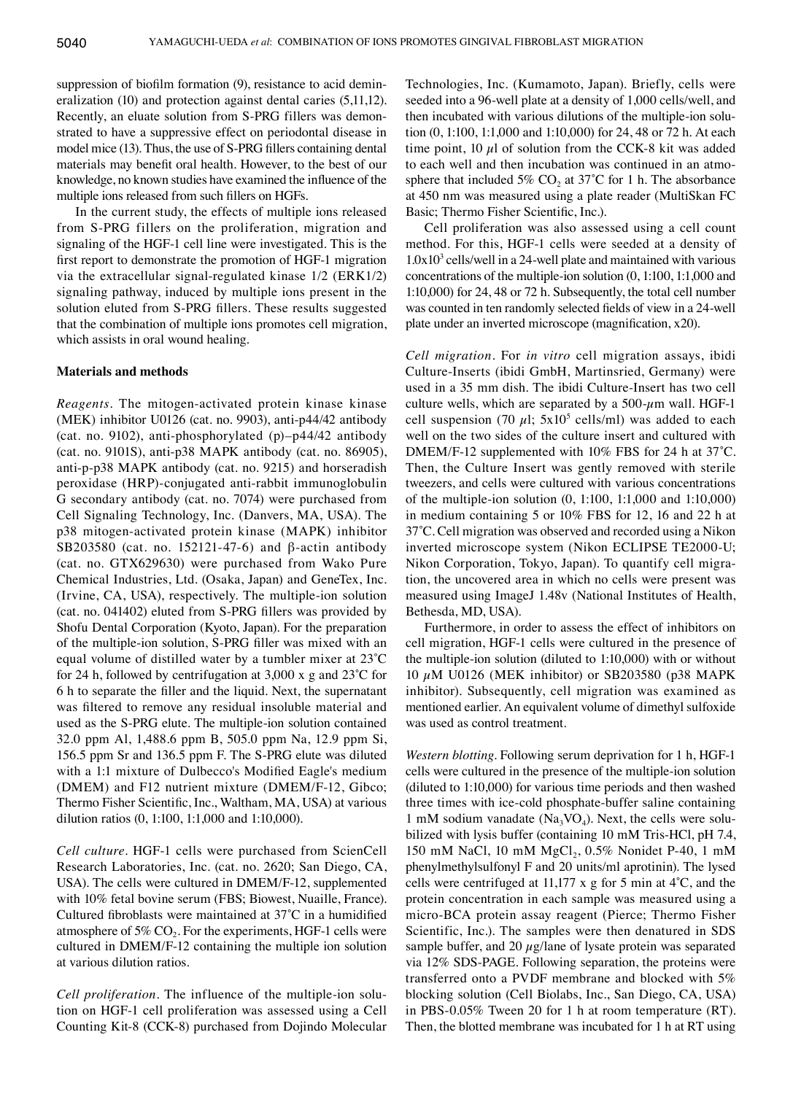suppression of biofilm formation (9), resistance to acid demineralization (10) and protection against dental caries (5,11,12). Recently, an eluate solution from S-PRG fillers was demonstrated to have a suppressive effect on periodontal disease in model mice (13). Thus, the use of S‑PRG fillers containing dental materials may benefit oral health. However, to the best of our knowledge, no known studies have examined the influence of the multiple ions released from such fillers on HGFs.

In the current study, the effects of multiple ions released from S-PRG fillers on the proliferation, migration and signaling of the HGF-1 cell line were investigated. This is the first report to demonstrate the promotion of HGF‑1 migration via the extracellular signal‑regulated kinase 1/2 (ERK1/2) signaling pathway, induced by multiple ions present in the solution eluted from S‑PRG fillers. These results suggested that the combination of multiple ions promotes cell migration, which assists in oral wound healing.

#### **Materials and methods**

*Reagents.* The mitogen‑activated protein kinase kinase (MEK) inhibitor U0126 (cat. no. 9903), anti‑p44/42 antibody (cat. no. 9102), anti-phosphorylated (p)–p44/42 antibody (cat. no. 9101S), anti‑p38 MAPK antibody (cat. no. 86905), anti-p-p38 MAPK antibody (cat. no. 9215) and horseradish peroxidase (HRP)‑conjugated anti‑rabbit immunoglobulin G secondary antibody (cat. no. 7074) were purchased from Cell Signaling Technology, Inc. (Danvers, MA, USA). The p38 mitogen‑activated protein kinase (MAPK) inhibitor SB203580 (cat. no. 152121-47-6) and β-actin antibody (cat. no. GTX629630) were purchased from Wako Pure Chemical Industries, Ltd. (Osaka, Japan) and GeneTex, Inc. (Irvine, CA, USA), respectively. The multiple-ion solution (cat. no. 041402) eluted from S‑PRG fillers was provided by Shofu Dental Corporation (Kyoto, Japan). For the preparation of the multiple‑ion solution, S‑PRG filler was mixed with an equal volume of distilled water by a tumbler mixer at 23˚C for 24 h, followed by centrifugation at 3,000 x g and 23˚C for 6 h to separate the filler and the liquid. Next, the supernatant was filtered to remove any residual insoluble material and used as the S-PRG elute. The multiple-ion solution contained 32.0 ppm Al, 1,488.6 ppm B, 505.0 ppm Na, 12.9 ppm Si, 156.5 ppm Sr and 136.5 ppm F. The S-PRG elute was diluted with a 1:1 mixture of Dulbecco's Modified Eagle's medium (DMEM) and F12 nutrient mixture (DMEM/F‑12, Gibco; Thermo Fisher Scientific, Inc., Waltham, MA, USA) at various dilution ratios (0, 1:100, 1:1,000 and 1:10,000).

*Cell culture.* HGF-1 cells were purchased from ScienCell Research Laboratories, Inc. (cat. no. 2620; San Diego, CA, USA). The cells were cultured in DMEM/F-12, supplemented with 10% fetal bovine serum (FBS; Biowest, Nuaille, France). Cultured fibroblasts were maintained at 37˚C in a humidified atmosphere of  $5\%$  CO<sub>2</sub>. For the experiments, HGF-1 cells were cultured in DMEM/F-12 containing the multiple ion solution at various dilution ratios.

*Cell proliferation.* The influence of the multiple-ion solution on HGF-1 cell proliferation was assessed using a Cell Counting Kit‑8 (CCK‑8) purchased from Dojindo Molecular Technologies, Inc. (Kumamoto, Japan). Briefly, cells were seeded into a 96-well plate at a density of 1,000 cells/well, and then incubated with various dilutions of the multiple-ion solution (0, 1:100, 1:1,000 and 1:10,000) for 24, 48 or 72 h. At each time point,  $10 \mu l$  of solution from the CCK-8 kit was added to each well and then incubation was continued in an atmosphere that included 5%  $CO<sub>2</sub>$  at 37°C for 1 h. The absorbance at 450 nm was measured using a plate reader (MultiSkan FC Basic; Thermo Fisher Scientific, Inc.).

Cell proliferation was also assessed using a cell count method. For this, HGF-1 cells were seeded at a density of  $1.0x10<sup>3</sup>$  cells/well in a 24-well plate and maintained with various concentrations of the multiple-ion solution (0, 1:100, 1:1,000 and 1:10,000) for 24, 48 or 72 h. Subsequently, the total cell number was counted in ten randomly selected fields of view in a 24‑well plate under an inverted microscope (magnification, x20).

*Cell migration.* For *in vitro* cell migration assays, ibidi Culture‑Inserts (ibidi GmbH, Martinsried, Germany) were used in a 35 mm dish. The ibidi Culture‑Insert has two cell culture wells, which are separated by a  $500-\mu m$  wall. HGF-1 cell suspension (70  $\mu$ l; 5x10<sup>5</sup> cells/ml) was added to each well on the two sides of the culture insert and cultured with DMEM/F-12 supplemented with 10% FBS for 24 h at 37°C. Then, the Culture Insert was gently removed with sterile tweezers, and cells were cultured with various concentrations of the multiple-ion solution (0, 1:100, 1:1,000 and 1:10,000) in medium containing 5 or 10% FBS for 12, 16 and 22 h at 37˚C. Cell migration was observed and recorded using a Nikon inverted microscope system (Nikon ECLIPSE TE2000‑U; Nikon Corporation, Tokyo, Japan). To quantify cell migration, the uncovered area in which no cells were present was measured using ImageJ 1.48v (National Institutes of Health, Bethesda, MD, USA).

Furthermore, in order to assess the effect of inhibitors on cell migration, HGF-1 cells were cultured in the presence of the multiple-ion solution (diluted to 1:10,000) with or without 10  $\mu$ M U0126 (MEK inhibitor) or SB203580 (p38 MAPK inhibitor). Subsequently, cell migration was examined as mentioned earlier. An equivalent volume of dimethyl sulfoxide was used as control treatment.

*Western blotting.* Following serum deprivation for 1 h, HGF-1 cells were cultured in the presence of the multiple-ion solution (diluted to 1:10,000) for various time periods and then washed three times with ice-cold phosphate-buffer saline containing 1 mM sodium vanadate ( $Na<sub>3</sub>VO<sub>4</sub>$ ). Next, the cells were solubilized with lysis buffer (containing 10 mM Tris-HCl, pH 7.4, 150 mM NaCl, 10 mM  $MgCl_2$ , 0.5% Nonidet P-40, 1 mM phenylmethylsulfonyl F and 20 units/ml aprotinin). The lysed cells were centrifuged at 11,177 x g for 5 min at 4˚C, and the protein concentration in each sample was measured using a micro‑BCA protein assay reagent (Pierce; Thermo Fisher Scientific, Inc.). The samples were then denatured in SDS sample buffer, and 20  $\mu$ g/lane of lysate protein was separated via 12% SDS-PAGE. Following separation, the proteins were transferred onto a PVDF membrane and blocked with 5% blocking solution (Cell Biolabs, Inc., San Diego, CA, USA) in PBS‑0.05% Tween 20 for 1 h at room temperature (RT). Then, the blotted membrane was incubated for 1 h at RT using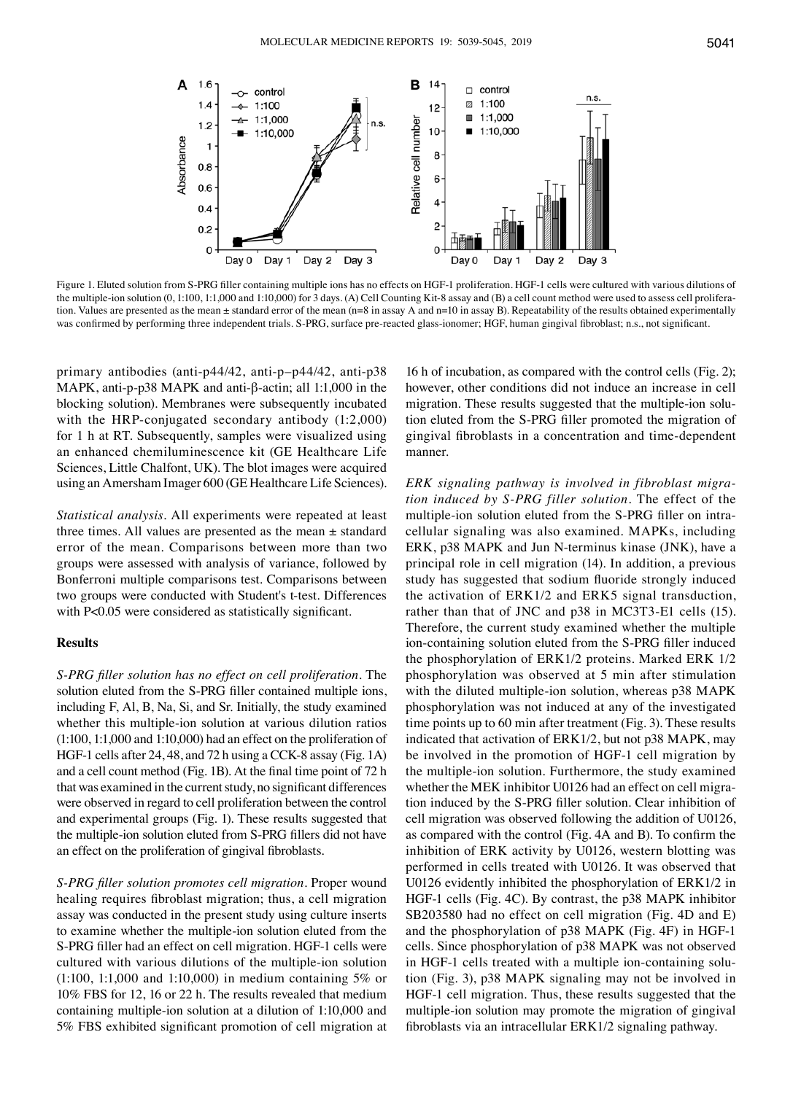

Figure 1. Eluted solution from S-PRG filler containing multiple ions has no effects on HGF-1 proliferation. HGF-1 cells were cultured with various dilutions of the multiple-ion solution (0, 1:100, 1:1,000 and 1:10,000) for 3 days. (A) Cell Counting Kit-8 assay and (B) a cell count method were used to assess cell proliferation. Values are presented as the mean  $\pm$  standard error of the mean (n=8 in assay A and n=10 in assay B). Repeatability of the results obtained experimentally was confirmed by performing three independent trials. S-PRG, surface pre-reacted glass-ionomer; HGF, human gingival fibroblast; n.s., not significant.

primary antibodies (anti‑p44/42, anti-p–p44/42, anti-p38 MAPK, anti-p-p38 MAPK and anti-β‑actin; all 1:1,000 in the blocking solution). Membranes were subsequently incubated with the HRP-conjugated secondary antibody  $(1:2,000)$ for 1 h at RT. Subsequently, samples were visualized using an enhanced chemiluminescence kit (GE Healthcare Life Sciences, Little Chalfont, UK). The blot images were acquired using an Amersham Imager 600 (GE Healthcare Life Sciences).

*Statistical analysis.* All experiments were repeated at least three times. All values are presented as the mean  $\pm$  standard error of the mean. Comparisons between more than two groups were assessed with analysis of variance, followed by Bonferroni multiple comparisons test. Comparisons between two groups were conducted with Student's t-test. Differences with P<0.05 were considered as statistically significant.

## **Results**

*S‑PRG filler solution has no effect on cell proliferation.* The solution eluted from the S-PRG filler contained multiple ions, including F, Al, B, Na, Si, and Sr. Initially, the study examined whether this multiple-ion solution at various dilution ratios (1:100, 1:1,000 and 1:10,000) had an effect on the proliferation of HGF-1 cells after 24, 48, and 72 h using a CCK-8 assay (Fig. 1A) and a cell count method (Fig. 1B). At the final time point of 72 h that was examined in the current study, no significant differences were observed in regard to cell proliferation between the control and experimental groups (Fig. 1). These results suggested that the multiple‑ion solution eluted from S‑PRG fillers did not have an effect on the proliferation of gingival fibroblasts.

*S‑PRG filler solution promotes cell migration.* Proper wound healing requires fibroblast migration; thus, a cell migration assay was conducted in the present study using culture inserts to examine whether the multiple-ion solution eluted from the S-PRG filler had an effect on cell migration. HGF-1 cells were cultured with various dilutions of the multiple-ion solution (1:100, 1:1,000 and 1:10,000) in medium containing 5% or 10% FBS for 12, 16 or 22 h. The results revealed that medium containing multiple-ion solution at a dilution of 1:10,000 and 5% FBS exhibited significant promotion of cell migration at

16 h of incubation, as compared with the control cells (Fig. 2); however, other conditions did not induce an increase in cell migration. These results suggested that the multiple-ion solution eluted from the S‑PRG filler promoted the migration of gingival fibroblasts in a concentration and time‑dependent manner.

*ERK signaling pathway is involved in fibroblast migra‑ tion induced by S‑PRG filler solution.* The effect of the multiple-ion solution eluted from the S-PRG filler on intracellular signaling was also examined. MAPKs, including ERK, p38 MAPK and Jun N‑terminus kinase (JNK), have a principal role in cell migration (14). In addition, a previous study has suggested that sodium fluoride strongly induced the activation of ERK1/2 and ERK5 signal transduction, rather than that of JNC and p38 in MC3T3-E1 cells (15). Therefore, the current study examined whether the multiple ion-containing solution eluted from the S-PRG filler induced the phosphorylation of ERK1/2 proteins. Marked ERK 1/2 phosphorylation was observed at 5 min after stimulation with the diluted multiple-ion solution, whereas p38 MAPK phosphorylation was not induced at any of the investigated time points up to 60 min after treatment (Fig. 3). These results indicated that activation of ERK1/2, but not p38 MAPK, may be involved in the promotion of HGF-1 cell migration by the multiple-ion solution. Furthermore, the study examined whether the MEK inhibitor U0126 had an effect on cell migration induced by the S‑PRG filler solution. Clear inhibition of cell migration was observed following the addition of U0126, as compared with the control (Fig. 4A and B). To confirm the inhibition of ERK activity by U0126, western blotting was performed in cells treated with U0126. It was observed that U0126 evidently inhibited the phosphorylation of ERK1/2 in HGF‑1 cells (Fig. 4C). By contrast, the p38 MAPK inhibitor SB203580 had no effect on cell migration (Fig. 4D and E) and the phosphorylation of p38 MAPK (Fig. 4F) in HGF-1 cells. Since phosphorylation of p38 MAPK was not observed in HGF-1 cells treated with a multiple ion-containing solution (Fig. 3), p38 MAPK signaling may not be involved in HGF-1 cell migration. Thus, these results suggested that the multiple-ion solution may promote the migration of gingival fibroblasts via an intracellular ERK1/2 signaling pathway.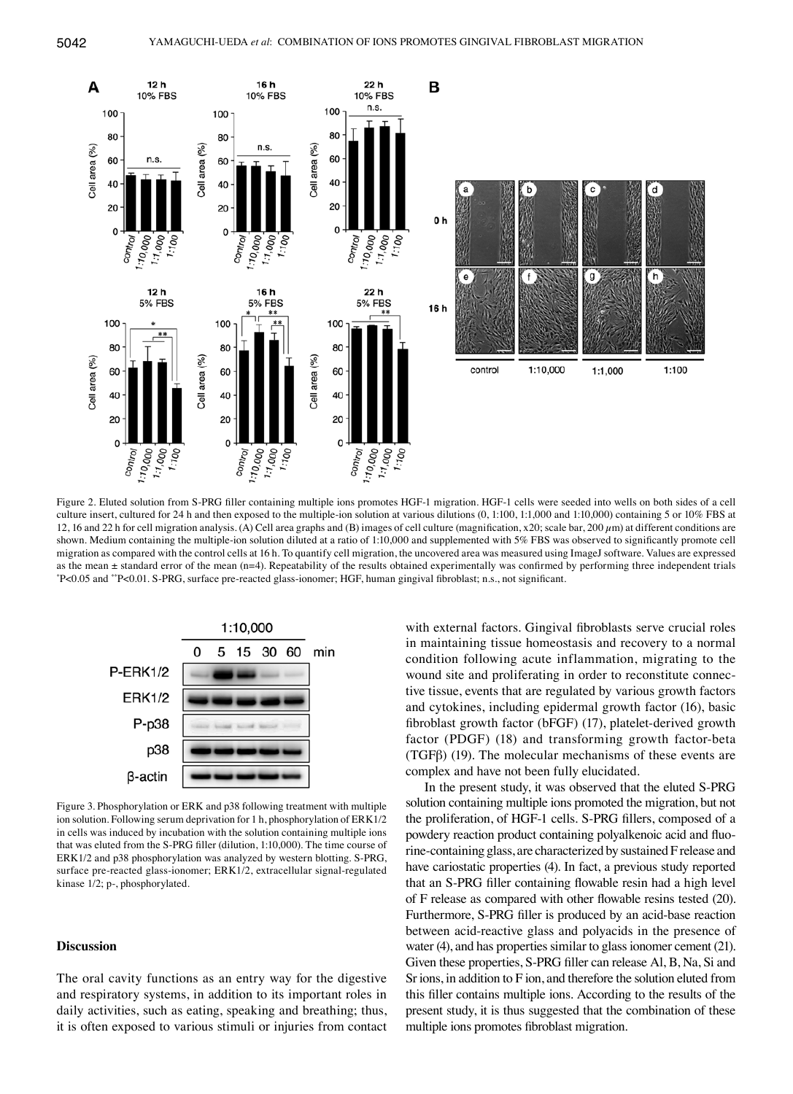

Figure 2. Eluted solution from S-PRG filler containing multiple ions promotes HGF-1 migration. HGF-1 cells were seeded into wells on both sides of a cell culture insert, cultured for 24 h and then exposed to the multiple-ion solution at various dilutions  $(0, 1:100, 1:1,000$  and  $1:10,000)$  containing 5 or 10% FBS at 12, 16 and 22 h for cell migration analysis. (A) Cell area graphs and (B) images of cell culture (magnification, x20; scale bar, 200  $\mu$ m) at different conditions are shown. Medium containing the multiple-ion solution diluted at a ratio of 1:10,000 and supplemented with 5% FBS was observed to significantly promote cell migration as compared with the control cells at 16 h. To quantify cell migration, the uncovered area was measured using ImageJ software. Values are expressed as the mean ± standard error of the mean (n=4). Repeatability of the results obtained experimentally was confirmed by performing three independent trials \* P<0.05 and \*\*P<0.01. S‑PRG, surface pre‑reacted glass‑ionomer; HGF, human gingival fibroblast; n.s., not significant.



Figure 3. Phosphorylation or ERK and p38 following treatment with multiple ion solution. Following serum deprivation for 1 h, phosphorylation of ERK1/2 in cells was induced by incubation with the solution containing multiple ions that was eluted from the S‑PRG filler (dilution, 1:10,000). The time course of ERK1/2 and p38 phosphorylation was analyzed by western blotting. S‑PRG, surface pre-reacted glass-ionomer; ERK1/2, extracellular signal-regulated kinase 1/2; p-, phosphorylated.

#### **Discussion**

The oral cavity functions as an entry way for the digestive and respiratory systems, in addition to its important roles in daily activities, such as eating, speaking and breathing; thus, it is often exposed to various stimuli or injuries from contact

with external factors. Gingival fibroblasts serve crucial roles in maintaining tissue homeostasis and recovery to a normal condition following acute inflammation, migrating to the wound site and proliferating in order to reconstitute connective tissue, events that are regulated by various growth factors and cytokines, including epidermal growth factor (16), basic fibroblast growth factor (bFGF) (17), platelet-derived growth factor (PDGF) (18) and transforming growth factor-beta (TGFβ) (19). The molecular mechanisms of these events are complex and have not been fully elucidated.

In the present study, it was observed that the eluted S‑PRG solution containing multiple ions promoted the migration, but not the proliferation, of HGF‑1 cells. S‑PRG fillers, composed of a powdery reaction product containing polyalkenoic acid and fluorine‑containing glass, are characterized by sustained F release and have cariostatic properties (4). In fact, a previous study reported that an S‑PRG filler containing flowable resin had a high level of F release as compared with other flowable resins tested (20). Furthermore, S-PRG filler is produced by an acid-base reaction between acid‑reactive glass and polyacids in the presence of water (4), and has properties similar to glass ionomer cement (21). Given these properties, S‑PRG filler can release Al, B, Na, Si and Sr ions, in addition to F ion, and therefore the solution eluted from this filler contains multiple ions. According to the results of the present study, it is thus suggested that the combination of these multiple ions promotes fibroblast migration.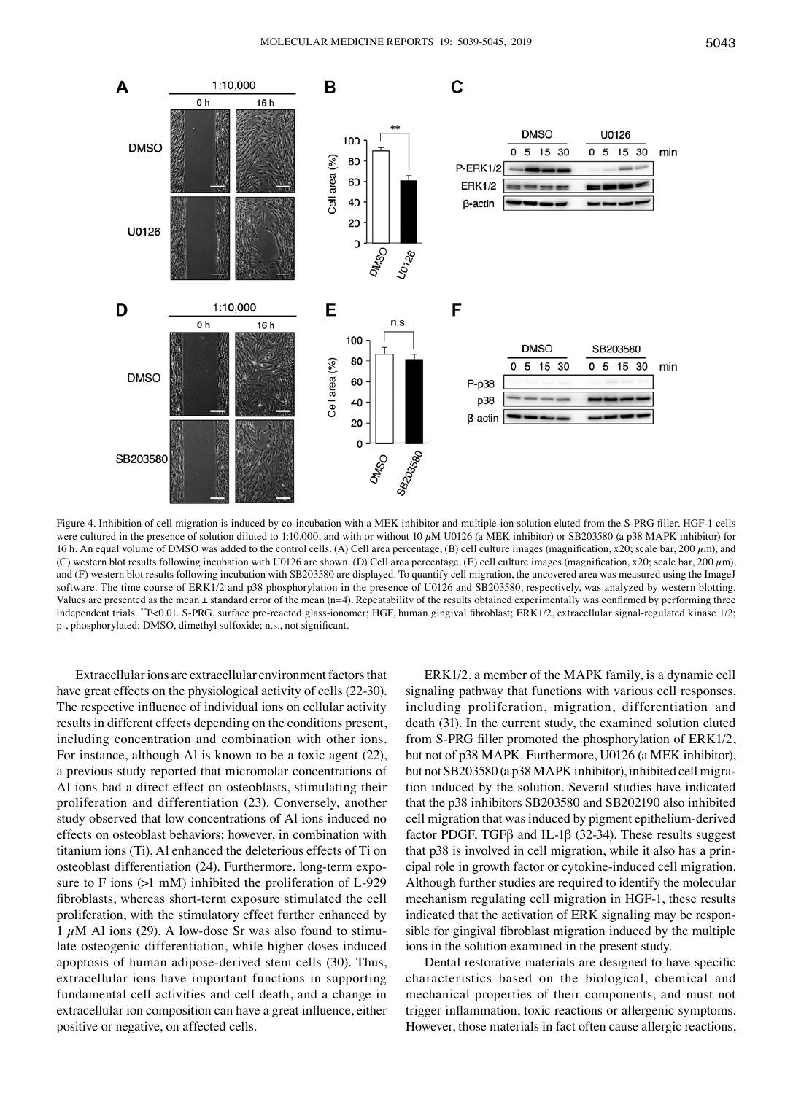

Figure 4. Inhibition of cell migration is induced by co-incubation with a MEK inhibitor and multiple-ion solution eluted from the S-PRG filler. HGF-1 cells were cultured in the presence of solution diluted to 1:10,000, and with or without 10  $\mu$ M U0126 (a MEK inhibitor) or SB203580 (a p38 MAPK inhibitor) for 16 h. An equal volume of DMSO was added to the control cells. (A) Cell area percentage, (B) cell culture images (magnification, x20; scale bar, 200  $\mu$ m), and (C) western blot results following incubation with U0126 are shown. (D) Cell area percentage, (E) cell culture images (magnification, x20; scale bar, 200  $\mu$ m), and (F) western blot results following incubation with SB203580 are displayed. To quantify cell migration, the uncovered area was measured using the ImageJ software. The time course of ERK1/2 and p38 phosphorylation in the presence of U0126 and SB203580, respectively, was analyzed by western blotting. Values are presented as the mean ± standard error of the mean (n=4). Repeatability of the results obtained experimentally was confirmed by performing three independent trials. \*\*P<0.01. S-PRG, surface pre-reacted glass-ionomer; HGF, human gingival fibroblast; ERK1/2, extracellular signal-regulated kinase 1/2; p‑, phosphorylated; DMSO, dimethyl sulfoxide; n.s., not significant.

Extracellular ions are extracellular environment factors that have great effects on the physiological activity of cells (22-30). The respective influence of individual ions on cellular activity results in different effects depending on the conditions present, including concentration and combination with other ions. For instance, although Al is known to be a toxic agent (22), a previous study reported that micromolar concentrations of Al ions had a direct effect on osteoblasts, stimulating their proliferation and differentiation (23). Conversely, another study observed that low concentrations of Al ions induced no effects on osteoblast behaviors; however, in combination with titanium ions (Ti), Al enhanced the deleterious effects of Ti on osteoblast differentiation (24). Furthermore, long‑term exposure to F ions  $(>1$  mM) inhibited the proliferation of L-929 fibroblasts, whereas short-term exposure stimulated the cell proliferation, with the stimulatory effect further enhanced by 1  $\mu$ M Al ions (29). A low-dose Sr was also found to stimulate osteogenic differentiation, while higher doses induced apoptosis of human adipose-derived stem cells (30). Thus, extracellular ions have important functions in supporting fundamental cell activities and cell death, and a change in extracellular ion composition can have a great influence, either positive or negative, on affected cells.

ERK1/2, a member of the MAPK family, is a dynamic cell signaling pathway that functions with various cell responses, including proliferation, migration, differentiation and death (31). In the current study, the examined solution eluted from S‑PRG filler promoted the phosphorylation of ERK1/2, but not of p38 MAPK. Furthermore, U0126 (a MEK inhibitor), but not SB203580 (a p38 MAPK inhibitor), inhibited cell migration induced by the solution. Several studies have indicated that the p38 inhibitors SB203580 and SB202190 also inhibited cell migration that was induced by pigment epithelium‑derived factor PDGF, TGF $\beta$  and IL-1 $\beta$  (32-34). These results suggest that p38 is involved in cell migration, while it also has a principal role in growth factor or cytokine‑induced cell migration. Although further studies are required to identify the molecular mechanism regulating cell migration in HGF-1, these results indicated that the activation of ERK signaling may be responsible for gingival fibroblast migration induced by the multiple ions in the solution examined in the present study.

Dental restorative materials are designed to have specific characteristics based on the biological, chemical and mechanical properties of their components, and must not trigger inflammation, toxic reactions or allergenic symptoms. However, those materials in fact often cause allergic reactions,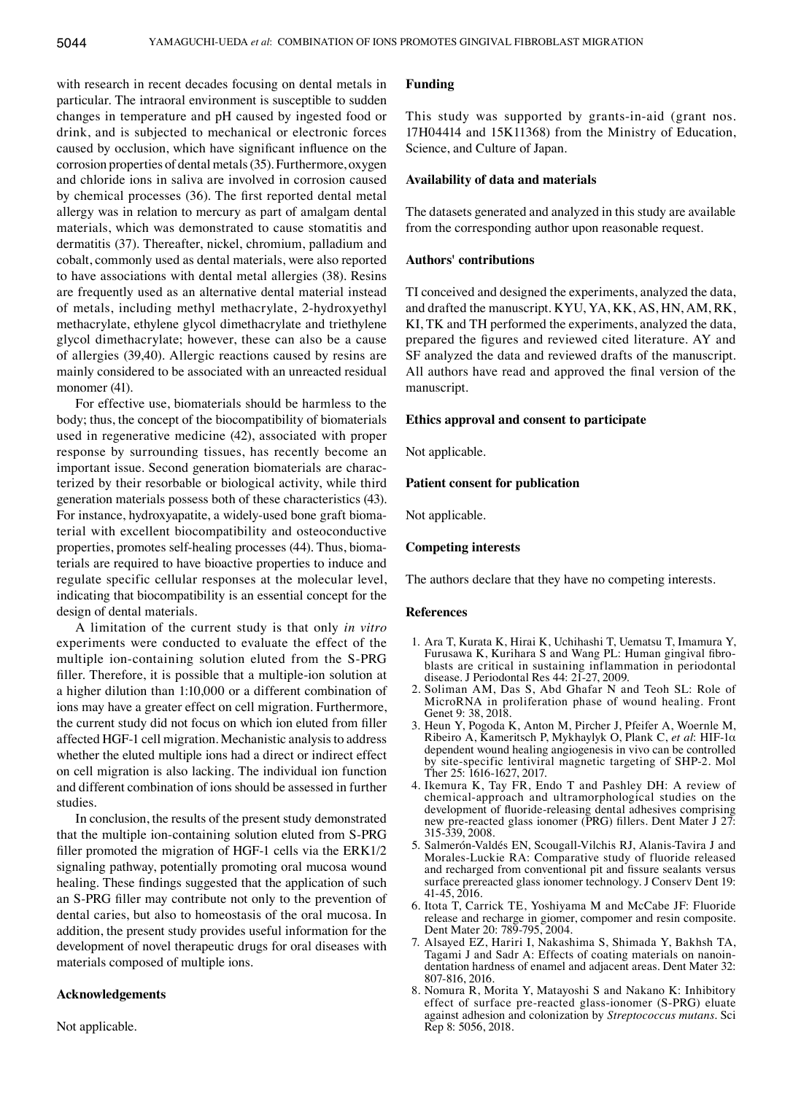with research in recent decades focusing on dental metals in particular. The intraoral environment is susceptible to sudden changes in temperature and pH caused by ingested food or drink, and is subjected to mechanical or electronic forces caused by occlusion, which have significant influence on the corrosion properties of dental metals(35). Furthermore, oxygen and chloride ions in saliva are involved in corrosion caused by chemical processes (36). The first reported dental metal allergy was in relation to mercury as part of amalgam dental materials, which was demonstrated to cause stomatitis and dermatitis (37). Thereafter, nickel, chromium, palladium and cobalt, commonly used as dental materials, were also reported to have associations with dental metal allergies (38). Resins are frequently used as an alternative dental material instead of metals, including methyl methacrylate, 2-hydroxyethyl methacrylate, ethylene glycol dimethacrylate and triethylene glycol dimethacrylate; however, these can also be a cause of allergies (39,40). Allergic reactions caused by resins are mainly considered to be associated with an unreacted residual monomer (41).

For effective use, biomaterials should be harmless to the body; thus, the concept of the biocompatibility of biomaterials used in regenerative medicine (42), associated with proper response by surrounding tissues, has recently become an important issue. Second generation biomaterials are characterized by their resorbable or biological activity, while third generation materials possess both of these characteristics (43). For instance, hydroxyapatite, a widely-used bone graft biomaterial with excellent biocompatibility and osteoconductive properties, promotes self-healing processes (44). Thus, biomaterials are required to have bioactive properties to induce and regulate specific cellular responses at the molecular level, indicating that biocompatibility is an essential concept for the design of dental materials.

A limitation of the current study is that only *in vitro*  experiments were conducted to evaluate the effect of the multiple ion-containing solution eluted from the S-PRG filler. Therefore, it is possible that a multiple‑ion solution at a higher dilution than 1:10,000 or a different combination of ions may have a greater effect on cell migration. Furthermore, the current study did not focus on which ion eluted from filler affected HGF-1 cell migration. Mechanistic analysis to address whether the eluted multiple ions had a direct or indirect effect on cell migration is also lacking. The individual ion function and different combination of ions should be assessed in further studies.

In conclusion, the results of the present study demonstrated that the multiple ion-containing solution eluted from S-PRG filler promoted the migration of HGF-1 cells via the ERK1/2 signaling pathway, potentially promoting oral mucosa wound healing. These findings suggested that the application of such an S‑PRG filler may contribute not only to the prevention of dental caries, but also to homeostasis of the oral mucosa. In addition, the present study provides useful information for the development of novel therapeutic drugs for oral diseases with materials composed of multiple ions.

## **Acknowledgements**

Not applicable.

## **Funding**

This study was supported by grants-in-aid (grant nos. 17H04414 and 15K11368) from the Ministry of Education, Science, and Culture of Japan.

#### **Availability of data and materials**

The datasets generated and analyzed in this study are available from the corresponding author upon reasonable request.

## **Authors' contributions**

TI conceived and designed the experiments, analyzed the data, and drafted the manuscript. KYU, YA, KK, AS, HN, AM, RK, KI, TK and TH performed the experiments, analyzed the data, prepared the figures and reviewed cited literature. AY and SF analyzed the data and reviewed drafts of the manuscript. All authors have read and approved the final version of the manuscript.

## **Ethics approval and consent to participate**

Not applicable.

## **Patient consent for publication**

Not applicable.

#### **Competing interests**

The authors declare that they have no competing interests.

## **References**

- 1. Ara T, Kurata K, Hirai K, Uchihashi T, Uematsu T, Imamura Y, Furusawa K, Kurihara S and Wang PL: Human gingival fibroblasts are critical in sustaining inflammation in periodontal disease. J Periodontal Res 44: 21‑27, 2009.
- 2. Soliman AM, Das S, Abd Ghafar N and Teoh SL: Role of MicroRNA in proliferation phase of wound healing. Front Genet 9: 38, 2018.
- 3. Heun Y, Pogoda K, Anton M, Pircher J, Pfeifer A, Woernle M, Ribeiro A, Kameritsch P, Mykhaylyk O, Plank C, *et al*: HIF-1α dependent wound healing angiogenesis in vivo can be controlled by site‑specific lentiviral magnetic targeting of SHP‑2. Mol Ther 25: 1616‑1627, 2017.
- 4. Ikemura K, Tay FR, Endo T and Pashley DH: A review of chemical-approach and ultramorphological studies on the development of fluoride-releasing dental adhesives comprising new pre‑reacted glass ionomer (PRG) fillers. Dent Mater J 27: 315-339, 2008.
- 5. Salmerón‑Valdés EN, Scougall‑Vilchis RJ, Alanis‑Tavira J and Morales‑Luckie RA: Comparative study of fluoride released and recharged from conventional pit and fissure sealants versus surface prereacted glass ionomer technology. J Conserv Dent 19: 41-45, 2016.
- 6. Itota T, Carrick TE, Yoshiyama M and McCabe JF: Fluoride release and recharge in giomer, compomer and resin composite. Dent Mater 20: 789‑795, 2004.
- 7. Alsayed EZ, Hariri I, Nakashima S, Shimada Y, Bakhsh TA, Tagami J and Sadr A: Effects of coating materials on nanoindentation hardness of enamel and adjacent areas. Dent Mater 32: 807‑816, 2016.
- 8. Nomura R, Morita Y, Matayoshi S and Nakano K: Inhibitory effect of surface pre-reacted glass-ionomer (S-PRG) eluate against adhesion and colonization by *Streptococcus mutans*. Sci Rep 8: 5056, 2018.